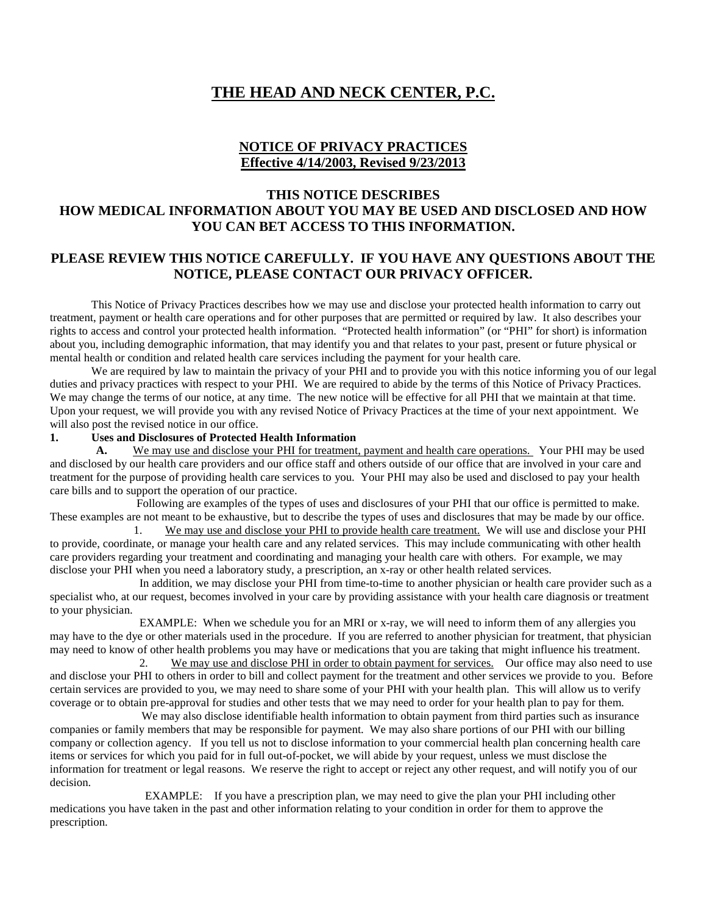# **THE HEAD AND NECK CENTER, P.C.**

### **NOTICE OF PRIVACY PRACTICES Effective 4/14/2003, Revised 9/23/2013**

## **THIS NOTICE DESCRIBES HOW MEDICAL INFORMATION ABOUT YOU MAY BE USED AND DISCLOSED AND HOW YOU CAN BET ACCESS TO THIS INFORMATION.**

## **PLEASE REVIEW THIS NOTICE CAREFULLY. IF YOU HAVE ANY QUESTIONS ABOUT THE NOTICE, PLEASE CONTACT OUR PRIVACY OFFICER.**

This Notice of Privacy Practices describes how we may use and disclose your protected health information to carry out treatment, payment or health care operations and for other purposes that are permitted or required by law. It also describes your rights to access and control your protected health information. "Protected health information" (or "PHI" for short) is information about you, including demographic information, that may identify you and that relates to your past, present or future physical or mental health or condition and related health care services including the payment for your health care.

We are required by law to maintain the privacy of your PHI and to provide you with this notice informing you of our legal duties and privacy practices with respect to your PHI. We are required to abide by the terms of this Notice of Privacy Practices. We may change the terms of our notice, at any time. The new notice will be effective for all PHI that we maintain at that time. Upon your request, we will provide you with any revised Notice of Privacy Practices at the time of your next appointment. We will also post the revised notice in our office.

#### **1. Uses and Disclosures of Protected Health Information**

 **A.** We may use and disclose your PHI for treatment, payment and health care operations. Your PHI may be used and disclosed by our health care providers and our office staff and others outside of our office that are involved in your care and treatment for the purpose of providing health care services to you. Your PHI may also be used and disclosed to pay your health care bills and to support the operation of our practice.

 Following are examples of the types of uses and disclosures of your PHI that our office is permitted to make. These examples are not meant to be exhaustive, but to describe the types of uses and disclosures that may be made by our office.

 1. We may use and disclose your PHI to provide health care treatment. We will use and disclose your PHI to provide, coordinate, or manage your health care and any related services. This may include communicating with other health care providers regarding your treatment and coordinating and managing your health care with others. For example, we may disclose your PHI when you need a laboratory study, a prescription, an x-ray or other health related services.

 In addition, we may disclose your PHI from time-to-time to another physician or health care provider such as a specialist who, at our request, becomes involved in your care by providing assistance with your health care diagnosis or treatment to your physician.

 EXAMPLE: When we schedule you for an MRI or x-ray, we will need to inform them of any allergies you may have to the dye or other materials used in the procedure. If you are referred to another physician for treatment, that physician may need to know of other health problems you may have or medications that you are taking that might influence his treatment.

 2. We may use and disclose PHI in order to obtain payment for services. Our office may also need to use and disclose your PHI to others in order to bill and collect payment for the treatment and other services we provide to you. Before certain services are provided to you, we may need to share some of your PHI with your health plan. This will allow us to verify coverage or to obtain pre-approval for studies and other tests that we may need to order for your health plan to pay for them.

We may also disclose identifiable health information to obtain payment from third parties such as insurance companies or family members that may be responsible for payment. We may also share portions of our PHI with our billing company or collection agency. If you tell us not to disclose information to your commercial health plan concerning health care items or services for which you paid for in full out-of-pocket, we will abide by your request, unless we must disclose the information for treatment or legal reasons. We reserve the right to accept or reject any other request, and will notify you of our decision.

 EXAMPLE: If you have a prescription plan, we may need to give the plan your PHI including other medications you have taken in the past and other information relating to your condition in order for them to approve the prescription.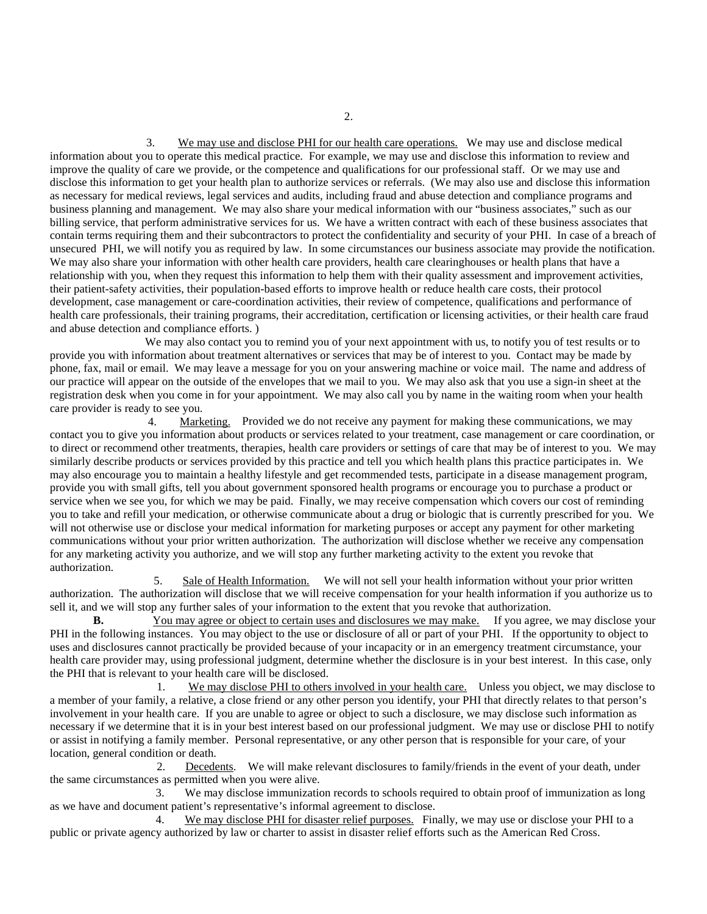3. We may use and disclose PHI for our health care operations. We may use and disclose medical information about you to operate this medical practice. For example, we may use and disclose this information to review and improve the quality of care we provide, or the competence and qualifications for our professional staff. Or we may use and disclose this information to get your health plan to authorize services or referrals. (We may also use and disclose this information as necessary for medical reviews, legal services and audits, including fraud and abuse detection and compliance programs and business planning and management. We may also share your medical information with our "business associates," such as our billing service, that perform administrative services for us. We have a written contract with each of these business associates that contain terms requiring them and their subcontractors to protect the confidentiality and security of your PHI. In case of a breach of unsecured PHI, we will notify you as required by law. In some circumstances our business associate may provide the notification. We may also share your information with other health care providers, health care clearinghouses or health plans that have a relationship with you, when they request this information to help them with their quality assessment and improvement activities, their patient-safety activities, their population-based efforts to improve health or reduce health care costs, their protocol development, case management or care-coordination activities, their review of competence, qualifications and performance of health care professionals, their training programs, their accreditation, certification or licensing activities, or their health care fraud and abuse detection and compliance efforts. )

We may also contact you to remind you of your next appointment with us, to notify you of test results or to provide you with information about treatment alternatives or services that may be of interest to you. Contact may be made by phone, fax, mail or email. We may leave a message for you on your answering machine or voice mail. The name and address of our practice will appear on the outside of the envelopes that we mail to you. We may also ask that you use a sign-in sheet at the registration desk when you come in for your appointment. We may also call you by name in the waiting room when your health care provider is ready to see you.<br>4 Mark

Marketing. Provided we do not receive any payment for making these communications, we may contact you to give you information about products or services related to your treatment, case management or care coordination, or to direct or recommend other treatments, therapies, health care providers or settings of care that may be of interest to you. We may similarly describe products or services provided by this practice and tell you which health plans this practice participates in. We may also encourage you to maintain a healthy lifestyle and get recommended tests, participate in a disease management program, provide you with small gifts, tell you about government sponsored health programs or encourage you to purchase a product or service when we see you, for which we may be paid. Finally, we may receive compensation which covers our cost of reminding you to take and refill your medication, or otherwise communicate about a drug or biologic that is currently prescribed for you. We will not otherwise use or disclose your medical information for marketing purposes or accept any payment for other marketing communications without your prior written authorization. The authorization will disclose whether we receive any compensation for any marketing activity you authorize, and we will stop any further marketing activity to the extent you revoke that authorization.

 5. Sale of Health Information. We will not sell your health information without your prior written authorization. The authorization will disclose that we will receive compensation for your health information if you authorize us to sell it, and we will stop any further sales of your information to the extent that you revoke that authorization.

**B.** You may agree or object to certain uses and disclosures we may make. If you agree, we may disclose your PHI in the following instances. You may object to the use or disclosure of all or part of your PHI. If the opportunity to object to uses and disclosures cannot practically be provided because of your incapacity or in an emergency treatment circumstance, your health care provider may, using professional judgment, determine whether the disclosure is in your best interest. In this case, only the PHI that is relevant to your health care will be disclosed.

 1. We may disclose PHI to others involved in your health care. Unless you object, we may disclose to a member of your family, a relative, a close friend or any other person you identify, your PHI that directly relates to that person's involvement in your health care. If you are unable to agree or object to such a disclosure, we may disclose such information as necessary if we determine that it is in your best interest based on our professional judgment. We may use or disclose PHI to notify or assist in notifying a family member. Personal representative, or any other person that is responsible for your care, of your location, general condition or death.

 2. Decedents. We will make relevant disclosures to family/friends in the event of your death, under the same circumstances as permitted when you were alive.

3. We may disclose immunization records to schools required to obtain proof of immunization as long as we have and document patient's representative's informal agreement to disclose.

4. We may disclose PHI for disaster relief purposes. Finally, we may use or disclose your PHI to a public or private agency authorized by law or charter to assist in disaster relief efforts such as the American Red Cross.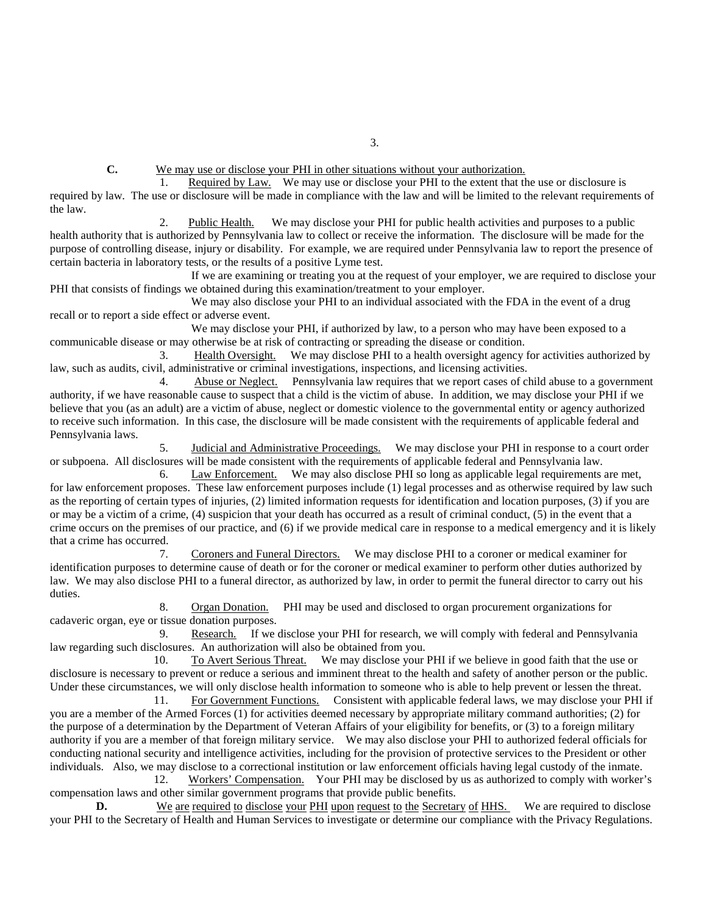**C.** We may use or disclose your PHI in other situations without your authorization.

 1. Required by Law. We may use or disclose your PHI to the extent that the use or disclosure is required by law. The use or disclosure will be made in compliance with the law and will be limited to the relevant requirements of the law.

 2. Public Health. We may disclose your PHI for public health activities and purposes to a public health authority that is authorized by Pennsylvania law to collect or receive the information. The disclosure will be made for the purpose of controlling disease, injury or disability. For example, we are required under Pennsylvania law to report the presence of certain bacteria in laboratory tests, or the results of a positive Lyme test.

 If we are examining or treating you at the request of your employer, we are required to disclose your PHI that consists of findings we obtained during this examination/treatment to your employer.

We may also disclose your PHI to an individual associated with the FDA in the event of a drug recall or to report a side effect or adverse event.

 We may disclose your PHI, if authorized by law, to a person who may have been exposed to a communicable disease or may otherwise be at risk of contracting or spreading the disease or condition.

 3. Health Oversight. We may disclose PHI to a health oversight agency for activities authorized by law, such as audits, civil, administrative or criminal investigations, inspections, and licensing activities.

4. Abuse or Neglect. Pennsylvania law requires that we report cases of child abuse to a government authority, if we have reasonable cause to suspect that a child is the victim of abuse. In addition, we may disclose your PHI if we believe that you (as an adult) are a victim of abuse, neglect or domestic violence to the governmental entity or agency authorized to receive such information. In this case, the disclosure will be made consistent with the requirements of applicable federal and Pennsylvania laws.

 5. Judicial and Administrative Proceedings. We may disclose your PHI in response to a court order or subpoena. All disclosures will be made consistent with the requirements of applicable federal and Pennsylvania law.

 6. Law Enforcement. We may also disclose PHI so long as applicable legal requirements are met, for law enforcement proposes. These law enforcement purposes include (1) legal processes and as otherwise required by law such as the reporting of certain types of injuries, (2) limited information requests for identification and location purposes, (3) if you are or may be a victim of a crime, (4) suspicion that your death has occurred as a result of criminal conduct, (5) in the event that a crime occurs on the premises of our practice, and (6) if we provide medical care in response to a medical emergency and it is likely that a crime has occurred.

 7. Coroners and Funeral Directors. We may disclose PHI to a coroner or medical examiner for identification purposes to determine cause of death or for the coroner or medical examiner to perform other duties authorized by law. We may also disclose PHI to a funeral director, as authorized by law, in order to permit the funeral director to carry out his duties.

 8. Organ Donation. PHI may be used and disclosed to organ procurement organizations for cadaveric organ, eye or tissue donation purposes.

 9. Research. If we disclose your PHI for research, we will comply with federal and Pennsylvania law regarding such disclosures. An authorization will also be obtained from you.<br>10. To Avert Serious Threat. We may disclose your

 10. To Avert Serious Threat. We may disclose your PHI if we believe in good faith that the use or disclosure is necessary to prevent or reduce a serious and imminent threat to the health and safety of another person or the public. Under these circumstances, we will only disclose health information to someone who is able to help prevent or lessen the threat.

 11. For Government Functions. Consistent with applicable federal laws, we may disclose your PHI if you are a member of the Armed Forces (1) for activities deemed necessary by appropriate military command authorities; (2) for the purpose of a determination by the Department of Veteran Affairs of your eligibility for benefits, or (3) to a foreign military authority if you are a member of that foreign military service. We may also disclose your PHI to authorized federal officials for conducting national security and intelligence activities, including for the provision of protective services to the President or other individuals. Also, we may disclose to a correctional institution or law enforcement officials having legal custody of the inmate.

12. Workers' Compensation. Your PHI may be disclosed by us as authorized to comply with worker's compensation laws and other similar government programs that provide public benefits.

**D.** We are required to disclose your PHI upon request to the Secretary of HHS. We are required to disclose your PHI to the Secretary of Health and Human Services to investigate or determine our compliance with the Privacy Regulations.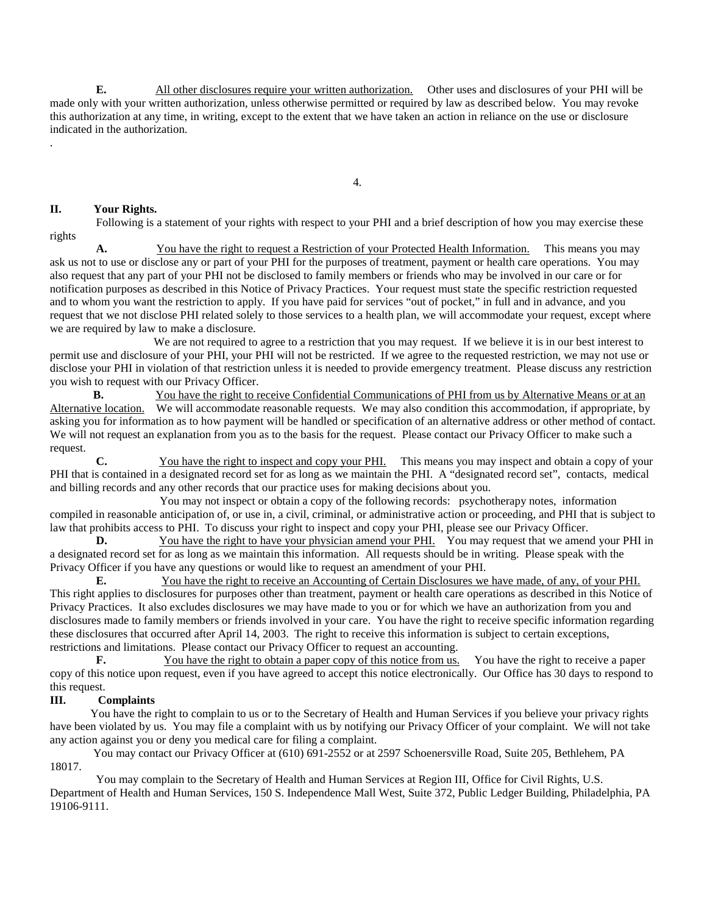**E.** All other disclosures require your written authorization. Other uses and disclosures of your PHI will be made only with your written authorization, unless otherwise permitted or required by law as described below. You may revoke this authorization at any time, in writing, except to the extent that we have taken an action in reliance on the use or disclosure indicated in the authorization.

4.

#### **II. Your Rights.**

.

Following is a statement of your rights with respect to your PHI and a brief description of how you may exercise these rights

 **A.** You have the right to request a Restriction of your Protected Health Information. This means you may ask us not to use or disclose any or part of your PHI for the purposes of treatment, payment or health care operations. You may also request that any part of your PHI not be disclosed to family members or friends who may be involved in our care or for notification purposes as described in this Notice of Privacy Practices. Your request must state the specific restriction requested and to whom you want the restriction to apply. If you have paid for services "out of pocket," in full and in advance, and you request that we not disclose PHI related solely to those services to a health plan, we will accommodate your request, except where we are required by law to make a disclosure.

 We are not required to agree to a restriction that you may request. If we believe it is in our best interest to permit use and disclosure of your PHI, your PHI will not be restricted. If we agree to the requested restriction, we may not use or disclose your PHI in violation of that restriction unless it is needed to provide emergency treatment. Please discuss any restriction you wish to request with our Privacy Officer.

**B.** You have the right to receive Confidential Communications of PHI from us by Alternative Means or at an Alternative location. We will accommodate reasonable requests. We may also condition this accommodation, if appropriate, by asking you for information as to how payment will be handled or specification of an alternative address or other method of contact. We will not request an explanation from you as to the basis for the request. Please contact our Privacy Officer to make such a request.

 **C.** You have the right to inspect and copy your PHI. This means you may inspect and obtain a copy of your PHI that is contained in a designated record set for as long as we maintain the PHI. A "designated record set", contacts, medical and billing records and any other records that our practice uses for making decisions about you.

 You may not inspect or obtain a copy of the following records: psychotherapy notes, information compiled in reasonable anticipation of, or use in, a civil, criminal, or administrative action or proceeding, and PHI that is subject to law that prohibits access to PHI. To discuss your right to inspect and copy your PHI, please see our Privacy Officer.<br>
D. You have the right to have your physician amend your PHI. You may request that we amene

You have the right to have your physician amend your PHI. You may request that we amend your PHI in a designated record set for as long as we maintain this information. All requests should be in writing. Please speak with the Privacy Officer if you have any questions or would like to request an amendment of your PHI.

 **E.** You have the right to receive an Accounting of Certain Disclosures we have made, of any, of your PHI. This right applies to disclosures for purposes other than treatment, payment or health care operations as described in this Notice of Privacy Practices. It also excludes disclosures we may have made to you or for which we have an authorization from you and disclosures made to family members or friends involved in your care. You have the right to receive specific information regarding these disclosures that occurred after April 14, 2003. The right to receive this information is subject to certain exceptions, restrictions and limitations. Please contact our Privacy Officer to request an accounting.

**F.** You have the right to obtain a paper copy of this notice from us. You have the right to receive a paper copy of this notice upon request, even if you have agreed to accept this notice electronically. Our Office has 30 days to respond to this request.

#### **III. Complaints**

 You have the right to complain to us or to the Secretary of Health and Human Services if you believe your privacy rights have been violated by us. You may file a complaint with us by notifying our Privacy Officer of your complaint. We will not take any action against you or deny you medical care for filing a complaint.

 You may contact our Privacy Officer at (610) 691-2552 or at 2597 Schoenersville Road, Suite 205, Bethlehem, PA 18017.

 You may complain to the Secretary of Health and Human Services at Region III, Office for Civil Rights, U.S. Department of Health and Human Services, 150 S. Independence Mall West, Suite 372, Public Ledger Building, Philadelphia, PA 19106-9111.